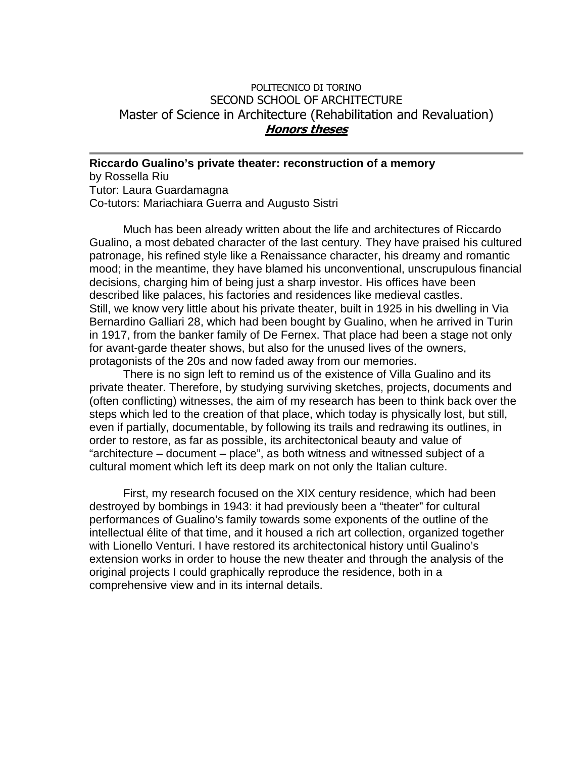## POLITECNICO DI TORINO SECOND SCHOOL OF ARCHITECTURE Master of Science in Architecture (Rehabilitation and Revaluation) **Honors theses**

**Riccardo Gualino's private theater: reconstruction of a memory**  by Rossella Riu Tutor: Laura Guardamagna Co-tutors: Mariachiara Guerra and Augusto Sistri

Much has been already written about the life and architectures of Riccardo Gualino, a most debated character of the last century. They have praised his cultured patronage, his refined style like a Renaissance character, his dreamy and romantic mood; in the meantime, they have blamed his unconventional, unscrupulous financial decisions, charging him of being just a sharp investor. His offices have been described like palaces, his factories and residences like medieval castles. Still, we know very little about his private theater, built in 1925 in his dwelling in Via Bernardino Galliari 28, which had been bought by Gualino, when he arrived in Turin in 1917, from the banker family of De Fernex. That place had been a stage not only for avant-garde theater shows, but also for the unused lives of the owners, protagonists of the 20s and now faded away from our memories.

There is no sign left to remind us of the existence of Villa Gualino and its private theater. Therefore, by studying surviving sketches, projects, documents and (often conflicting) witnesses, the aim of my research has been to think back over the steps which led to the creation of that place, which today is physically lost, but still, even if partially, documentable, by following its trails and redrawing its outlines, in order to restore, as far as possible, its architectonical beauty and value of "architecture – document – place", as both witness and witnessed subject of a cultural moment which left its deep mark on not only the Italian culture.

First, my research focused on the XIX century residence, which had been destroyed by bombings in 1943: it had previously been a "theater" for cultural performances of Gualino's family towards some exponents of the outline of the intellectual élite of that time, and it housed a rich art collection, organized together with Lionello Venturi. I have restored its architectonical history until Gualino's extension works in order to house the new theater and through the analysis of the original projects I could graphically reproduce the residence, both in a comprehensive view and in its internal details.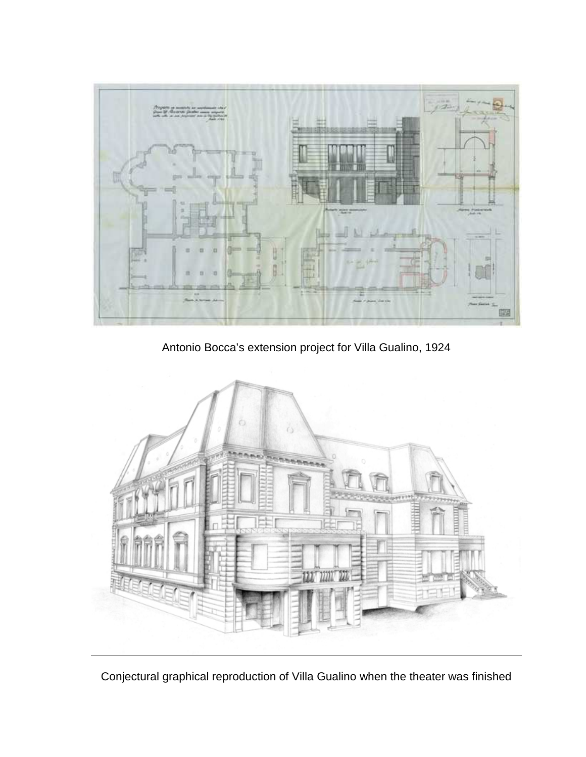

Antonio Bocca's extension project for Villa Gualino, 1924



Conjectural graphical reproduction of Villa Gualino when the theater was finished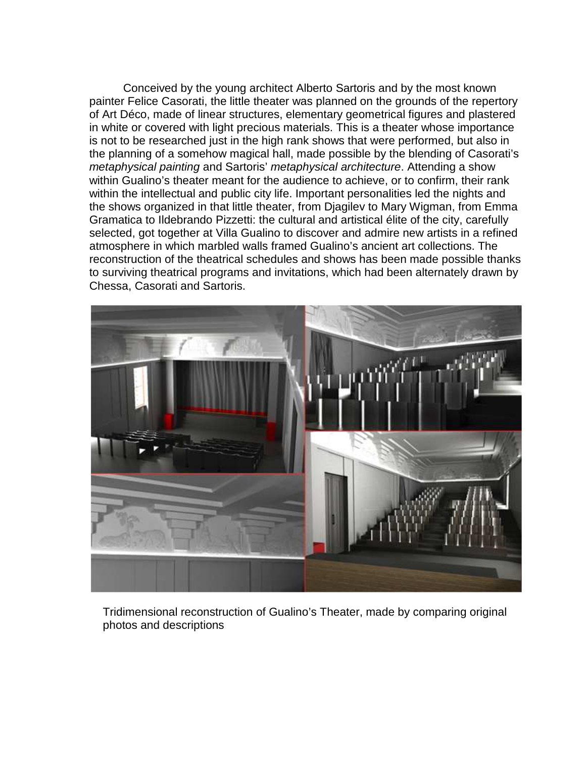Conceived by the young architect Alberto Sartoris and by the most known painter Felice Casorati, the little theater was planned on the grounds of the repertory of Art Déco, made of linear structures, elementary geometrical figures and plastered in white or covered with light precious materials. This is a theater whose importance is not to be researched just in the high rank shows that were performed, but also in the planning of a somehow magical hall, made possible by the blending of Casorati's metaphysical painting and Sartoris' metaphysical architecture. Attending a show within Gualino's theater meant for the audience to achieve, or to confirm, their rank within the intellectual and public city life. Important personalities led the nights and the shows organized in that little theater, from Djagilev to Mary Wigman, from Emma Gramatica to Ildebrando Pizzetti: the cultural and artistical élite of the city, carefully selected, got together at Villa Gualino to discover and admire new artists in a refined atmosphere in which marbled walls framed Gualino's ancient art collections. The reconstruction of the theatrical schedules and shows has been made possible thanks to surviving theatrical programs and invitations, which had been alternately drawn by Chessa, Casorati and Sartoris.



Tridimensional reconstruction of Gualino's Theater, made by comparing original photos and descriptions